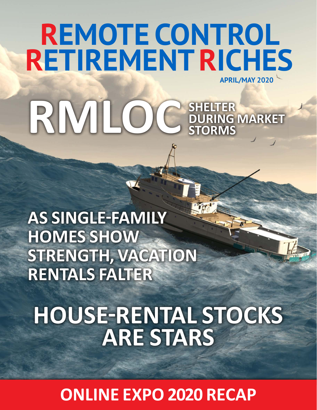# **REMOTE CONTROL RETIREMENTRICHES APRIL/MAY 2020 RMLOC SHELTER**

**DURING MARKET** 

**STORMS**

**AS SINGLE-FAMILY HOMES SHOW STRENGTH, VACATION RENTALS FALTER**

**HOUSE-RENTAL STOCKS ARE STARS**

**ONLINE EXPO 2020 RECAP**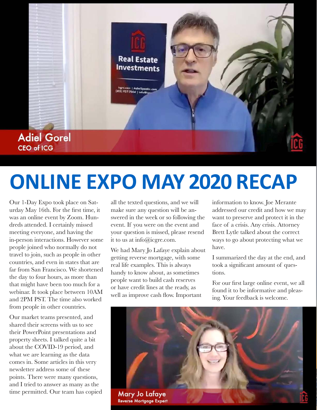

# **ONLINE EXPO MAY 2020 RECAP**

Our 1-Day Expo took place on Saturday May 16th. For the first time, it was an online event by Zoom. Hundreds attended. I certainly missed meeting everyone, and having the in-person interactions. However some people joined who normally do not travel to join, such as people in other countries, and even in states that are far from San Francisco. We shortened the day to four hours, as more than that might have been too much for a webinar. It took place between 10AM and 2PM PST. The time also worked from people in other countries.

Our market teams presented, and shared their screens with us to see their PowerPoint presentations and property sheets. I talked quite a bit about the COVID-19 period, and what we are learning as the data comes in. Some articles in this very newsletter address some of these points. There were many questions, and I tried to answer as many as the time permitted. Our team has copied all the texted questions, and we will make sure any question will be answered in the week or so following the event. If you were on the event and your question is missed, please resend it to us at info@icgre.com.

We had Mary Jo Lafaye explain about getting reverse mortgage, with some real life examples. This is always handy to know about, as sometimes people want to build cash reserves or have credit lines at the ready, as well as improve cash flow. Important

information to know. Joe Merante addressed our credit and how we may want to preserve and protect it in the face of a crisis. Any crisis. Attorney Brett Lytle talked about the correct ways to go about protecting what we have.

I summarized the day at the end, and took a significant amount of questions.

For our first large online event, we all found it to be informative and pleasing. Your feedback is welcome.

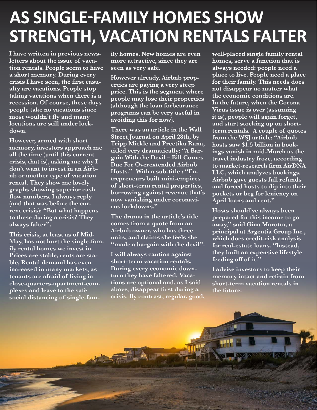### **AS SINGLE-FAMILY HOMES SHOW STRENGTH, VACATION RENTALS FALTER**

**I have written in previous newsletters about the issue of vacation rentals. People seem to have a short memory. During every crisis I have seen, the first casualty are vacations. People stop taking vacations when there is a recession. Of course, these days people take no vacations since most wouldn't fly and many locations are still under lockdown.**

**However, armed with short memory, investors approach me all the time (until this current crisis, that is), asking me why I don't want to invest in an Airbnb or another type of vacation rental. They show me lovely graphs showing superior cash flow numbers. I always reply (and that was before the current crisis): "But what happens to these during a crisis? They always falter".** 

**This crisis, at least as of Mid-May, has not hurt the single-family rental homes we invest in. Prices are stable, rents are stable, Rental demand has even increased in many markets, as tenants are afraid of living in close-quarters-apartment-complexes and leave to the safe social distancing of single-fam-** **ily homes. New homes are even more attractive, since they are seen as very safe.** 

**However already, Airbnb properties are paying a very steep price. This is the segment where people may lose their properties (although the loan forbearance programs can be very useful in avoiding this for now).** 

**There was an article in the Wall Street Journal on April 28th, by Tripp Mickle and Preetika Rana, titled very dramatically: "A Bargain With the Devil – Bill Comes Due For Overextended Airbnb Hosts." With a sub-title : "Entrepreneurs built mini-empires of short-term rental properties, borrowing against revenue that's now vanishing under coronavirus lockdowns."** 

**The drama in the article's title comes from a quote from an Airbnb owner, who has three units, and claims she feels she "made a bargain with the devil".**

**I will always caution against short-term vacation rentals. During every economic downturn they have faltered. Vacations are optional and, as I said above, disappear first during a crisis. By contrast, regular, good,** 

**well-placed single family rental homes, serve a function that is always needed: people need a place to live. People need a place for their family. This needs does not disappear no matter what the economic conditions are. In the future, when the Corona Virus issue is over (assuming it is), people will again forget, and start stocking up on shortterm rentals. A couple of quotes from the WSJ article: "Airbnb hosts saw \$1.5 billion in bookings vanish in mid-March as the travel industry froze, according to market-research firm AirDNA LLC, which analyzes bookings. Airbnb gave guests full refunds and forced hosts to dip into their pockets or beg for leniency on April loans and rent."**

**Hosts should've always been prepared for this income to go away," said Gina Marotta, a principal at Argentia Group Inc., which does credit-risk analysis for real-estate loans. "Instead, they built an expensive lifestyle feeding off of it."** 

**I advise investors to keep their memory intact and refrain from short-term vacation rentals in the future.**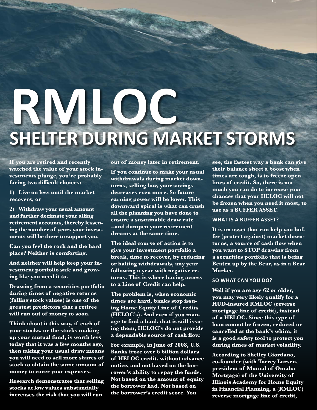# **RMLOC SHELTER DURING MARKET STORMS**

**If you are retired and recently watched the value of your stock investments plunge, you're probably facing two difficult choices:** 

**1) Live on less until the market recovers, or** 

**2) Withdraw your usual amount and further decimate your ailing retirement accounts, thereby lessening the number of years your investments will be there to support you.**

**Can you feel the rock and the hard place? Neither is comforting.** 

**And neither will help keep your investment portfolio safe and growing like you need it to.**

**Drawing from a securities portfolio during times of negative returns (falling stock values) is one of the greatest predictors that a retiree will run out of money to soon.**

**Think about it this way, if each of your stocks, or the stocks making up your mutual fund, is worth less today that it was a few months ago, then taking your usual draw means you will need to sell more shares of stock to obtain the same amount of money to cover your expenses.**

**Research demonstrates that selling stocks at low values substantially increases the risk that you will run** 

**out of money later in retirement.**

**If you continue to make your usual withdrawals during market downturns, selling low, your savings decreases even more. So future earning power will be lower. This downward spiral is what can crush all the planning you have done to ensure a sustainable draw rate --and dampen your retirement dreams at the same time.**

**The ideal course of action is to give your investment portfolio a break, time to recover, by reducing or halting withdrawals, any year following a year with negative returns. This is where having access to a Line of Credit can help.**

**The problem is, when economic times are hard, banks stop issuing Home Equity Line of Credits (HELOC's). And even if you manage to find a bank that is still issuing them, HELOC's do not provide a dependable source of cash flow.**

**For example, in June of 2008, U.S. Banks froze over 6 billion dollars of HELOC credit, without advance notice, and not based on the borrower's ability to repay the funds. Not based on the amount of equity the borrower had. Not based on the borrower's credit score. You** 

**see, the fastest way a bank can give their balance sheet a boost when times are tough, is to freeze open lines of credit. So, there is not much you can do to increase your chances that your HELOC will not be frozen when you need it most, to use as a BUFFER ASSET.**

#### **WHAT IS A BUFFER ASSET?**

**It is an asset that can help you buffer (protect against) market downturns, a source of cash flow when you want to STOP drawing from a securities portfolio that is being Beaten up by the Bear, as in a Bear Market.**

#### **SO WHAT CAN YOU DO?**

**Well if you are age 62 or older, you may very likely qualify for a HUD-insured RMLOC (reverse mortgage line of credit), instead of a HELOC. Since this type of loan cannot be frozen, reduced or cancelled at the bank's whim, it is a good safety tool to protect you during times of market volatility.** 

**According to Shelley Giordano, co-founder (with Torrey Larsen, president of Mutual of Omaha Mortgage) of the University of Illinois Academy for Home Equity in Financial Planning, a (RMLOC) reverse mortgage line of credit,**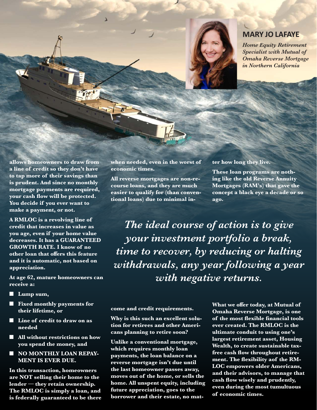

#### **MARY JO LAFAYE**

*Home Equity Retirement Specialist with Mutual of Omaha Reverse Mortgage in Northern California*

**allows homeowners to draw from a line of credit so they don't have to tap more of their savings than is prudent. And since no monthly mortgage payments are required, your cash flow will be protected. You decide if you ever want to make a payment, or not.** 

**A RMLOC is a revolving line of credit that increases in value as you age, even if your home value decreases. It has a GUARANTEED GROWTH RATE. I know of no other loan that offers this feature and it is automatic, not based on appreciation.**

**At age 62, mature homeowners can receive a:**

- $\blacksquare$  Lump sum,
- Fixed monthly payments for **their lifetime, or**
- Line of credit to draw on as **needed**
- $\blacksquare$  All without restrictions on how **you spend the money, and**
- **NO MONTHLY LOAN REPAY-MENT IS EVER DUE.**

**In this transaction, homeowners are NOT selling their home to the lender — they retain ownership. The RMLOC is simply a loan, and is federally guaranteed to be there**  **when needed, even in the worst of economic times.**

**All reverse mortgages are non-recourse loans, and they are much easier to qualify for (than conventional loans) due to minimal in-**

#### **ter how long they live.**

**These loan programs are nothing like the old Reverse Annuity Mortgages (RAM's) that gave the concept a black eye a decade or so ago.**

*The ideal course of action is to give your investment portfolio a break, time to recover, by reducing or halting withdrawals, any year following a year with negative returns.*

#### **come and credit requirements.**

**Why is this such an excellent solution for retirees and other Americans planning to retire soon?**

**Unlike a conventional mortgage, which requires monthly loan payments, the loan balance on a reverse mortgage isn't due until the last homeowner passes away, moves out of the home, or sells the home. All unspent equity, including future appreciation, goes to the borrower and their estate, no mat-** **What we offer today, at Mutual of Omaha Reverse Mortgage, is one of the most flexible financial tools ever created. The RMLOC is the ultimate conduit to using one's largest retirement asset, Housing Wealth, to create sustainable taxfree cash flow throughout retirement. The flexibility aof the RM-LOC empowers older Americans, and their advisors, to manage that cash flow wisely and prudently, even during the most tumultuous of economic times.**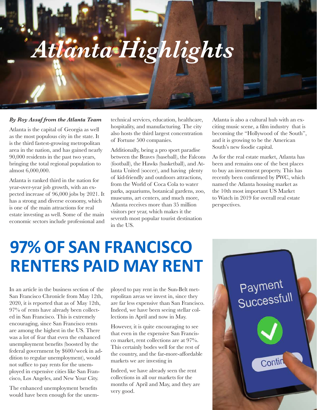# *Atlanta Highlights*

#### *By Roy Assaf from the Atlanta Team*

Atlanta is the capital of Georgia as well as the most populous city in the state. It is the third fastest-growing metropolitan area in the nation, and has gained nearly 90,000 residents in the past two years, bringing the total regional population to almost 6,000,000.

Atlanta is ranked third in the nation for year-over-year job growth, with an expected increase of 96,000 jobs by 2021. It has a strong and diverse economy, which is one of the main attractions for real estate investing as well. Some of the main economic sectors include professional and

technical services, education, healthcare, hospitality, and manufacturing. The city also hosts the third largest concentration of Fortune 500 companies.

Additionally, being a pro sport paradise between the Braves (baseball), the Falcons (football), the Hawks (basketball), and Atlanta United (soccer), and having plenty of kid-friendly and outdoors attractions, from the World of Coca Cola to water parks, aquariums, botanical gardens, zoo, museums, art centers, and much more, Atlanta receives more than 35 million visitors per year, which makes it the seventh most popular tourist destination in the US.

Atlanta is also a cultural hub with an exciting music scene, a film industry that is becoming the "Hollywood of the South", and it is growing to be the American South's new foodie capital.

As for the real estate market, Atlanta has been and remains one of the best places to buy an investment property. This has recently been confirmed by PWC, which named the Atlanta housing market as the 10th most important US Market to Watch in 2019 for overall real estate perspectives.

## **97% OF SAN FRANCISCO RENTERS PAID MAY RENT**

In an article in the business section of the San Francisco Chronicle from May 12th, 2020, it is reported that as of May 12th, 97% of rents have already been collected in San Francisco. This is extremely encouraging, since San Francisco rents are among the highest in the US. There was a lot of fear that even the enhanced unemployment benefits (boosted by the federal government by \$600/week in addition to regular unemployment), would not suffice to pay rents for the unemployed in expensive cities like San Francisco, Los Angeles, and New Your City.

The enhanced unemployment benefits would have been enough for the unem-

ployed to pay rent in the Sun-Belt metropolitan areas we invest in, since they are far less expensive than San Francisco. Indeed, we have been seeing stellar collections in April and now in May.

However, it is quite encouraging to see that even in the expensive San Francisco market, rent collections are at 97%. This certainly bodes well for the rest of the country, and the far-more-affordable markets we are investing in

Indeed, we have already seen the rent collections in all our markets for the months of April and May, and they are very good.

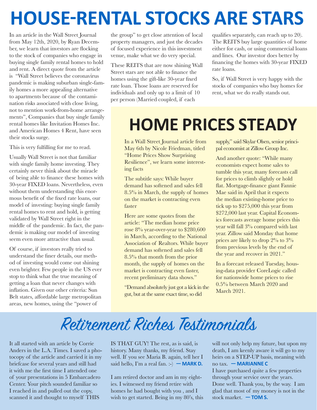## **HOUSE-RENTAL STOCKS ARE STARS**

In an article in the Wall Street Journal from May 12th, 2020, by Ryan December, we learn that investors are flocking to the stock of companies who engage in buying single family rental homes to hold and rent. A direct quote from the article is "Wall Street believes the coronavirus pandemic is making suburban single-family homes a more appealing alternative to apartments because of the contamination risks associated with close living, not to mention work-from-home arrangements", Companies that buy single family rental homes like Invitation Homes Inc. and American Homes 4 Rent, have seen their stocks surge.

This is very fulfilling for me to read.

Usually Wall Street is not that familiar with single family home investing. They certainly never think about the miracle of being able to finance these homes with 30-year FIXED loans. Nevertheless, even without them understanding this enormous benefit of the fixed rate loans, our model of investing: buying single family rental homes to rent and hold, is getting validated by Wall Street right in the middle of the pandemic. In fact, the pandemic is making our model of investing seem even more attractive than usual.

Of course, if investors really tried to understand the finer details, our method of investing would come out shining even brighter. Few people in the US ever stop to think what the true meaning of getting a loan that never changes with inflation. Given our other criteria: Sun Belt states, affordable large metropolitan areas, new homes, using the "power of

the group" to get close attention of local property managers, and just the decades of focused experience in this investment venue, make what we do very special.

These REITS that are now shining Wall Street stars are not able to finance the homes using the gift-like 30-year fixed rate loan. Those loans are reserved for individuals and only up to a limit of 10 per person (Married coupled, if each

qualifies separately, can reach up to 20). The REITS buy large quantities of home either for cash, or using commercial loans and lines. Our investor does better by financing the homes with 30-year FIXED rate loans.

So, if Wall Street is very happy with the stocks of companies who buy homes for rent, what we do really stands out.

## **HOME PRICES STEADY**

In a Wall Street Journal article from May 6th by Nicole Friedman, titled "Home Prices Show Surprising Resilience", we learn some interesting facts

The subtitle says: While buyer demand has softened and sales fell 8.5% in March, the supply of homes on the market is contracting even faster

Here are some quotes from the article: "The median home price rose 8% year-over-year to \$280,600 in March, according to the National Association of Realtors. While buyer demand has softened and sales fell 8.5% that month from the prior month, the supply of homes on the market is contracting even faster, recent preliminary data shows."

"Demand absolutely just got a kick in the gut, but at the same exact time, so did

supply," said Skylar Olsen, senior principal economist at Zillow Group Inc.

And another quote: "While many economists expect home sales to tumble this year, many forecasts call for prices to climb slightly or hold flat. Mortgage-finance giant Fannie Mae said in April that it expects the median existing-home price to tick up to \$275,000 this year from \$272,000 last year. Capital Economics forecasts average home prices this year will fall 3% compared with last year. Zillow said Monday that home prices are likely to drop 2% to 3% from previous levels by the end of the year and recover in 2021."

In a forecast released Tuesday, housing-data provider CoreLogic called for nationwide home prices to rise 0.5% between March 2020 and March 2021.

### Retirement Riches Testimonials

It all started with an article by Corrie Anders in the L.A. Times. I saved a photocopy of the article and carried it in my briefcase for several years and still had it with me the first time I attended one of your presentations in 5 Embarcadero Center. Your pitch sounded familiar so I reached in and pulled out the copy, scanned it and thought to myself THIS

IS THAT GUY! The rest, as is said, is history. Many thanks, my friend. Stay well. If you see Maria B. again, tell her I said hello, I'm a real fan. :-) **— MARK D.**

I am retired doctor and am in my eighties. I witnessed my friend retire with homes he had bought with you , and I wish to get started. Being in my 80's, this will not only help my future, but upon my death, I am keenly aware it will go to my heirs on a STEP-UP basis, meaning with no tax. **— MARIANNE C**

I have purchased quite a few properties through your service over the years. Done well. Thank you, by the way. I am glad that most of my money is not in the stock market. **— TOM S.**